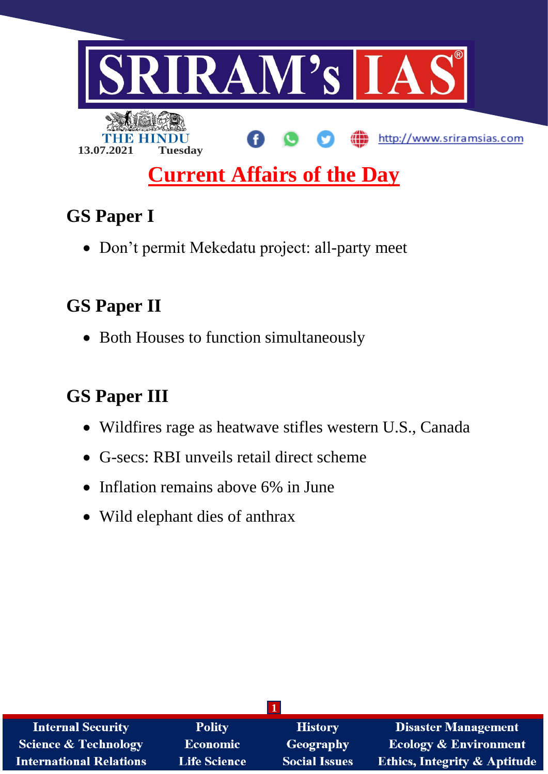

## **GS Paper I**

Don't permit Mekedatu project: all-party meet

# **GS Paper II**

• Both Houses to function simultaneously

# **GS Paper III**

- Wildfires rage as heatwave stifles western U.S., Canada
- G-secs: RBI unveils retail direct scheme
- Inflation remains above 6% in June
- Wild elephant dies of anthrax

| <b>Internal Security</b>        | <b>Polity</b>       | <b>History</b>       | <b>Disaster Management</b>              |  |  |  |
|---------------------------------|---------------------|----------------------|-----------------------------------------|--|--|--|
| <b>Science &amp; Technology</b> | Economic            | <b>Geography</b>     | <b>Ecology &amp; Environment</b>        |  |  |  |
| <b>International Relations</b>  | <b>Life Science</b> | <b>Social Issues</b> | <b>Ethics, Integrity &amp; Aptitude</b> |  |  |  |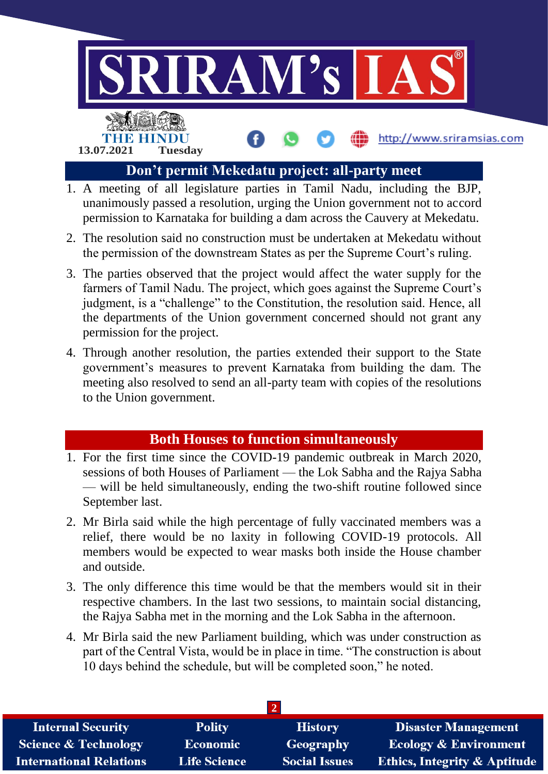

- unanimously passed a resolution, urging the Union government not to accord permission to Karnataka for building a dam across the Cauvery at Mekedatu.
- 2. The resolution said no construction must be undertaken at Mekedatu without the permission of the downstream States as per the Supreme Court's ruling.
- 3. The parties observed that the project would affect the water supply for the farmers of Tamil Nadu. The project, which goes against the Supreme Court's judgment, is a "challenge" to the Constitution, the resolution said. Hence, all the departments of the Union government concerned should not grant any permission for the project.
- 4. Through another resolution, the parties extended their support to the State government's measures to prevent Karnataka from building the dam. The meeting also resolved to send an all-party team with copies of the resolutions to the Union government.

## **Both Houses to function simultaneously**

- 1. For the first time since the COVID-19 pandemic outbreak in March 2020, sessions of both Houses of Parliament — the Lok Sabha and the Rajya Sabha — will be held simultaneously, ending the two-shift routine followed since September last.
- 2. Mr Birla said while the high percentage of fully vaccinated members was a relief, there would be no laxity in following COVID-19 protocols. All members would be expected to wear masks both inside the House chamber and outside.
- 3. The only difference this time would be that the members would sit in their respective chambers. In the last two sessions, to maintain social distancing, the Rajya Sabha met in the morning and the Lok Sabha in the afternoon.
- 4. Mr Birla said the new Parliament building, which was under construction as part of the Central Vista, would be in place in time. "The construction is about 10 days behind the schedule, but will be completed soon," he noted.

| <b>Internal Security</b>        | <b>Polity</b>       | <b>History</b>       | <b>Disaster Management</b>              |  |  |  |
|---------------------------------|---------------------|----------------------|-----------------------------------------|--|--|--|
| <b>Science &amp; Technology</b> | <b>Economic</b>     | Geography            | <b>Ecology &amp; Environment</b>        |  |  |  |
| <b>International Relations</b>  | <b>Life Science</b> | <b>Social Issues</b> | <b>Ethics, Integrity &amp; Aptitude</b> |  |  |  |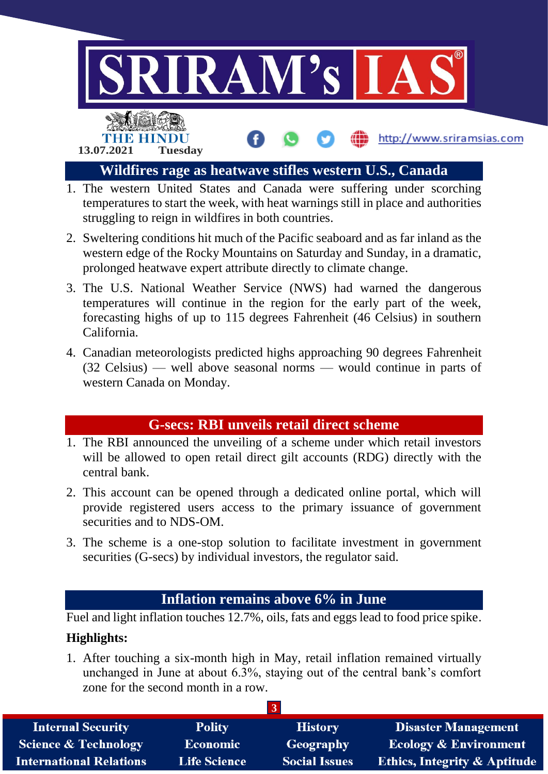

- temperatures to start the week, with heat warnings still in place and authorities struggling to reign in wildfires in both countries.
- 2. Sweltering conditions hit much of the Pacific seaboard and as far inland as the western edge of the Rocky Mountains on Saturday and Sunday, in a dramatic, prolonged heatwave expert attribute directly to climate change.
- 3. The U.S. National Weather Service (NWS) had warned the dangerous temperatures will continue in the region for the early part of the week, forecasting highs of up to 115 degrees Fahrenheit (46 Celsius) in southern California.
- 4. Canadian meteorologists predicted highs approaching 90 degrees Fahrenheit (32 Celsius) — well above seasonal norms — would continue in parts of western Canada on Monday.

#### **G-secs: RBI unveils retail direct scheme**

- 1. The RBI announced the unveiling of a scheme under which retail investors will be allowed to open retail direct gilt accounts (RDG) directly with the central bank.
- 2. This account can be opened through a dedicated online portal, which will provide registered users access to the primary issuance of government securities and to NDS-OM.
- 3. The scheme is a one-stop solution to facilitate investment in government securities (G-secs) by individual investors, the regulator said.

#### **Inflation remains above 6% in June**

Fuel and light inflation touches 12.7%, oils, fats and eggs lead to food price spike.

## **Highlights:**

1. After touching a six-month high in May, retail inflation remained virtually unchanged in June at about 6.3%, staying out of the central bank's comfort zone for the second month in a row.

| <b>Internal Security</b>        | <b>Polity</b>       | <b>History</b>       | <b>Disaster Management</b>              |  |  |
|---------------------------------|---------------------|----------------------|-----------------------------------------|--|--|
| <b>Science &amp; Technology</b> | Economic            | Geography            | <b>Ecology &amp; Environment</b>        |  |  |
| <b>International Relations</b>  | <b>Life Science</b> | <b>Social Issues</b> | <b>Ethics, Integrity &amp; Aptitude</b> |  |  |